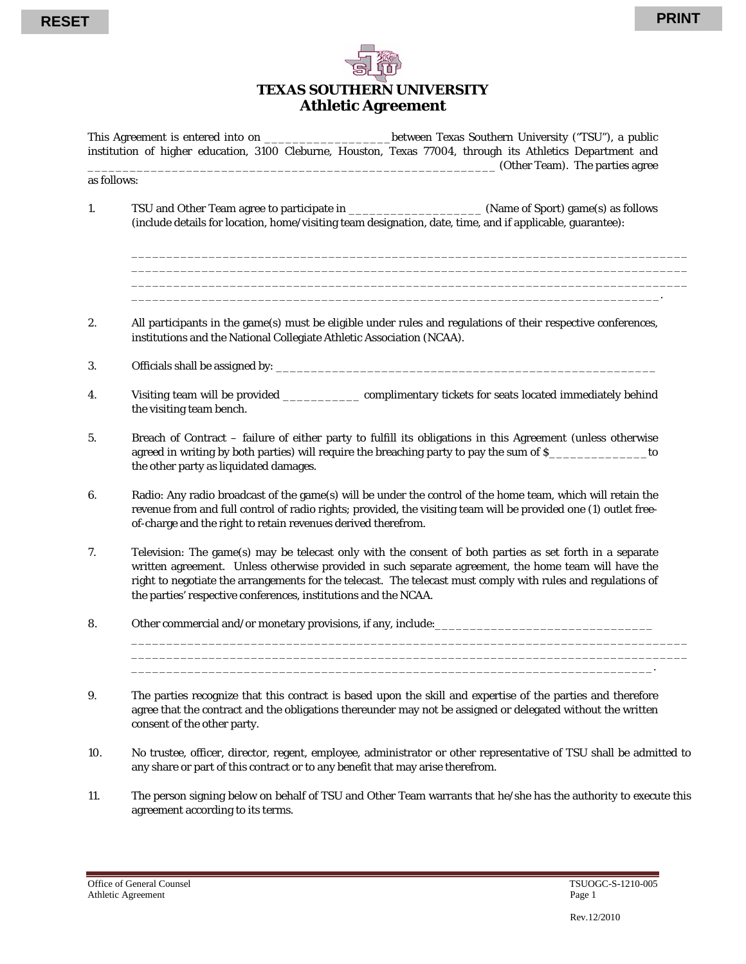

## **TEXAS SOUTHERN UNIVERSITY Athletic Agreement**

This Agreement is entered into on  $\qquad \qquad$  between Texas Southern University ("TSU"), a public institution of higher education, 3100 Cleburne, Houston, Texas 77004, through its Athletics Department and \_\_\_\_\_\_\_\_\_\_\_\_\_\_\_\_\_\_\_\_\_\_\_\_\_\_\_\_\_\_\_\_\_\_\_\_\_\_\_\_\_\_\_\_\_\_\_\_\_\_\_\_\_\_\_\_\_\_ (Other Team). The parties agree

as follows:

1. TSU and Other Team agree to participate in \_\_\_\_\_\_\_\_\_\_\_\_\_\_\_\_\_\_\_\_\_\_\_\_\_\_\_\_\_\_\_\_\_\_ (Name of Sport) game(s) as follows (include details for location, home/visiting team designation, date, time, and if applicable, guarantee):

\_\_\_\_\_\_\_\_\_\_\_\_\_\_\_\_\_\_\_\_\_\_\_\_\_\_\_\_\_\_\_\_\_\_\_\_\_\_\_\_\_\_\_\_\_\_\_\_\_\_\_\_\_\_\_\_\_\_\_\_\_\_\_\_\_\_\_\_\_\_\_\_\_\_\_\_\_\_\_ \_\_\_\_\_\_\_\_\_\_\_\_\_\_\_\_\_\_\_\_\_\_\_\_\_\_\_\_\_\_\_\_\_\_\_\_\_\_\_\_\_\_\_\_\_\_\_\_\_\_\_\_\_\_\_\_\_\_\_\_\_\_\_\_\_\_\_\_\_\_\_\_\_\_\_\_\_\_\_

\_\_\_\_\_\_\_\_\_\_\_\_\_\_\_\_\_\_\_\_\_\_\_\_\_\_\_\_\_\_\_\_\_\_\_\_\_\_\_\_\_\_\_\_\_\_\_\_\_\_\_\_\_\_\_\_\_\_\_\_\_\_\_\_\_\_\_\_\_\_\_\_\_\_\_.

- 2. All participants in the game(s) must be eligible under rules and regulations of their respective conferences, institutions and the National Collegiate Athletic Association (NCAA).
- 3. Officials shall be assigned by: \_\_\_\_\_\_\_\_\_\_\_\_\_\_\_\_\_\_\_\_\_\_\_\_\_\_\_\_\_\_\_\_\_\_\_\_\_\_\_\_\_\_\_\_\_\_\_\_\_\_\_\_\_\_
- 4. Visiting team will be provided \_\_\_\_\_\_\_\_\_\_\_ complimentary tickets for seats located immediately behind the visiting team bench.
- 5. Breach of Contract failure of either party to fulfill its obligations in this Agreement (unless otherwise agreed in writing by both parties) will require the breaching party to pay the sum of \$\_\_\_\_\_\_\_\_\_\_\_\_\_\_\_\_\_to the other party as liquidated damages.
- 6. Radio: Any radio broadcast of the game(s) will be under the control of the home team, which will retain the revenue from and full control of radio rights; provided, the visiting team will be provided one (1) outlet freeof-charge and the right to retain revenues derived therefrom.
- 7. Television: The game(s) may be telecast only with the consent of both parties as set forth in a separate written agreement. Unless otherwise provided in such separate agreement, the home team will have the right to negotiate the arrangements for the telecast. The telecast must comply with rules and regulations of the parties' respective conferences, institutions and the NCAA.
- 8. Other commercial and/or monetary provisions, if any, include:\_\_\_\_\_\_\_\_\_\_\_\_\_\_\_\_\_\_\_\_\_\_\_\_\_\_\_\_\_\_\_

10. No trustee, officer, director, regent, employee, administrator or other representative of TSU shall be admitted to any share or part of this contract or to any benefit that may arise therefrom.

\_\_\_\_\_\_\_\_\_\_\_\_\_\_\_\_\_\_\_\_\_\_\_\_\_\_\_\_\_\_\_\_\_\_\_\_\_\_\_\_\_\_\_\_\_\_\_\_\_\_\_\_\_\_\_\_\_\_\_\_\_\_\_\_\_\_\_\_\_\_\_\_\_\_\_\_\_\_\_ \_\_\_\_\_\_\_\_\_\_\_\_\_\_\_\_\_\_\_\_\_\_\_\_\_\_\_\_\_\_\_\_\_\_\_\_\_\_\_\_\_\_\_\_\_\_\_\_\_\_\_\_\_\_\_\_\_\_\_\_\_\_\_\_\_\_\_\_\_\_\_\_\_\_\_\_\_\_\_ \_\_\_\_\_\_\_\_\_\_\_\_\_\_\_\_\_\_\_\_\_\_\_\_\_\_\_\_\_\_\_\_\_\_\_\_\_\_\_\_\_\_\_\_\_\_\_\_\_\_\_\_\_\_\_\_\_\_\_\_\_\_\_\_\_\_\_\_\_\_\_\_\_\_.

11. The person signing below on behalf of TSU and Other Team warrants that he/she has the authority to execute this agreement according to its terms.

<sup>9.</sup> The parties recognize that this contract is based upon the skill and expertise of the parties and therefore agree that the contract and the obligations thereunder may not be assigned or delegated without the written consent of the other party.